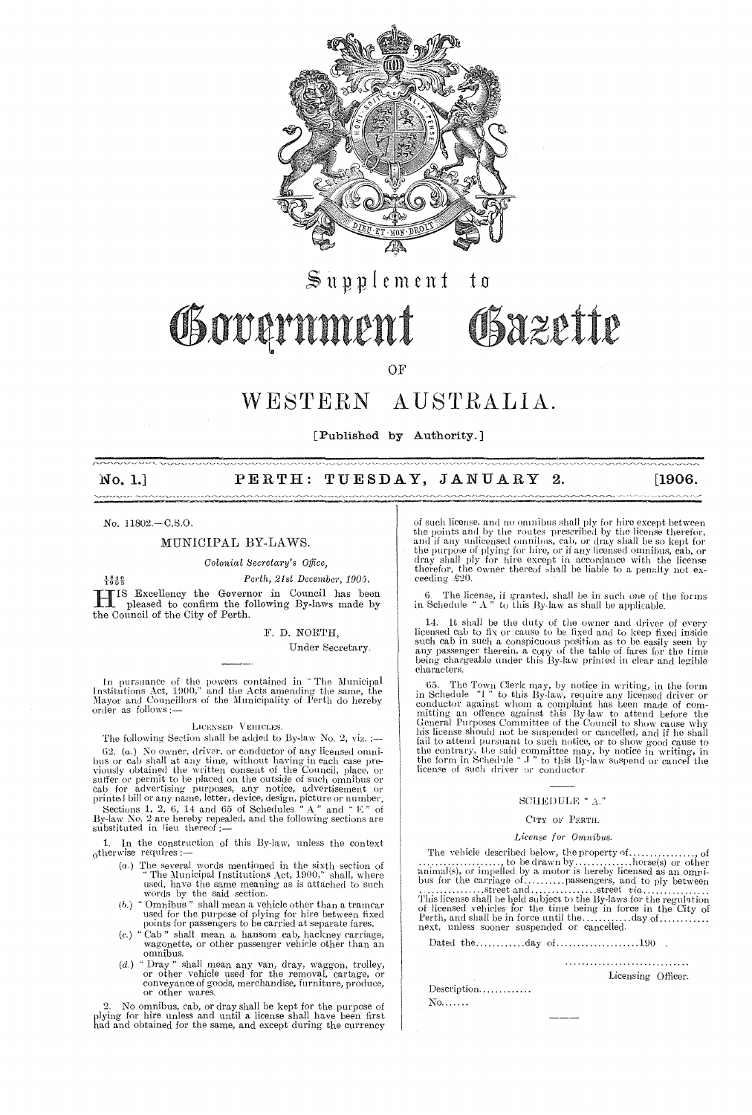

# $\mathbb S$ upplement t o Governmen Obazette

OF

#### WESTERN AUSTRALIA.

[Published by Authority.]

#### PERTH: TUESDAY, JANUARY 2.  $No. 1.]$

No. 11802.-C.S.O.

# MUNICIPAL BY-LAWS.

Colonial Secretary's Office.

 $\frac{1840}{1903}$ Perth, 21st December, 1905. IS Excellency the Governor in Council has been<br>pleased to confirm the fallent pleased to confirm the following By-laws made by the Council of the City of Perth.

F. D. NORTH,

Under Secretary.

In pursuance of the powers contained in "The Municipal<br>Institutions Act, 1900," and the Acts amending the same, the<br>Mayor and Councillors of the Municipality of Perth do hereby order as follows:

### LICENSED VEHICLES

The following Section shall be added to By-law No. 2, viz. :-62. (a.) No owner, driver, or conductor of any licensed omni-62. (a.) No owner, driver, or conductor of any licensed omnibus or cab shall at any time, without lawing in each case previously obtained the written consent of the Council, place, or suffer or permit to be placed on the

1. In the construction of this By-law, unless the context otherwise requires :-

- $(a.)$  The several words mentioned in the sixth section of "The Municipal Institutions Act, 1900," shall, where
- "The Municipal Institutions Act, 1900," shall, where<br>used, have the same meaning as is attached to such<br>words by the said section.<br>"Omnibus" shall mean a vehicle other than a tramcar<br>used for the purpose of plying for hire  $(b.)$
- $(c.)$
- wagonetics, or other passenger venture other than an<br>
"Dray" shall mean any van, dray, waggon, trolley,<br>
"Dray" shall mean any van, dray, waggon, trolley,<br>
or other vehicle used for the removal, cartage, or<br>
conveyance of  $(d.)$

2. No omnibus, cab, or dray shall be kept for the purpose of plying for hire unless and until a license shall have been first had and obtained for the same, and except during the currency

of such license, and no omnibus shall ply for hire except between<br>the points and by the routes prescribed by the license therefor,<br>and if any unicensed omnibus, cab, or dray shall be so kept for<br>the purpose of plying for h ceeding £20.

 $[1906]$ 

6. The license, if granted, shall be in such one of the forms in Schedule "  $\Lambda$  " to this By-law as shall be applicable.

It shall be the duty of the owner and driver of every 14. It shall be the duty of the owner and driver of every<br>licensed cab to fix or cause to be fixed and to been fixed inside<br>such cab in such a conspicuous position as to be easily seen by<br>any passenger therein, a copy of t characters.

characters.<br>
65. The Town Clerk may, by notice in writing, in the form<br>
in Schedule "1" to this By-law, require any licensed driver or<br>
conductor against whom a complaint has been made of com-<br>
mitting an offence against

### SCHEDULE "A."

#### CITY OF PERTH.

#### License for Omnibus.

The vehicle described below, the property of ....... 

Licensing Officer.

Description............  $\rm No.$  . . . . . .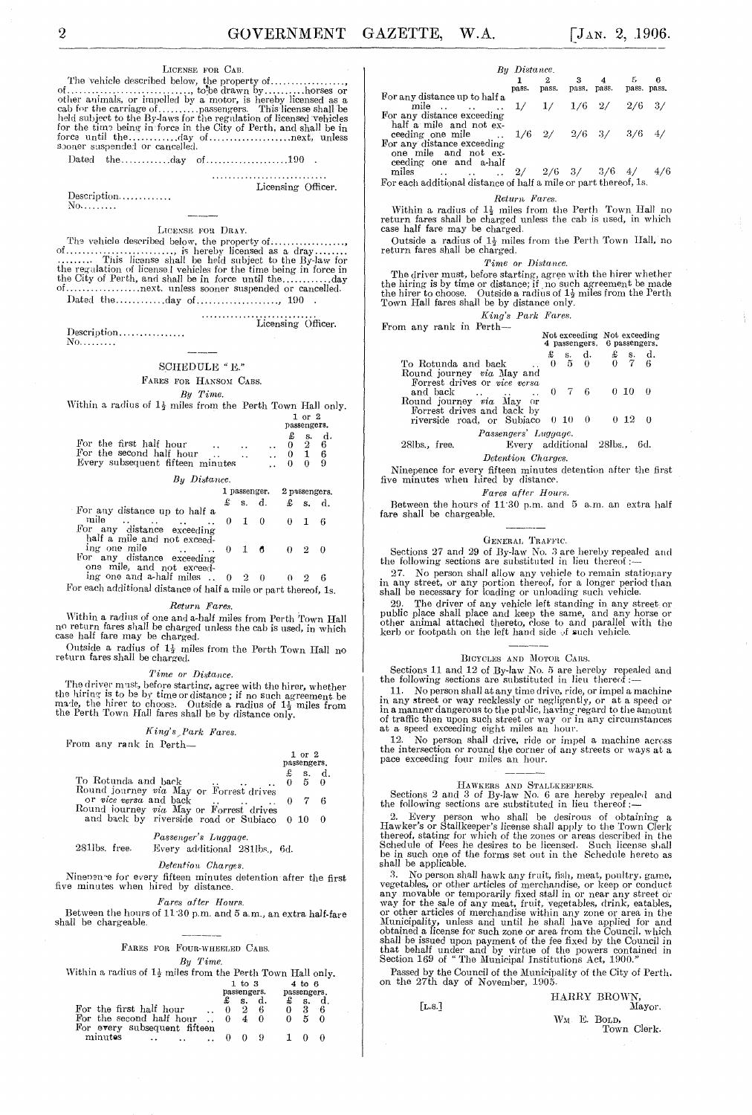# LICENSE FOR CAB.

 $\label{eq:1} \text{Description} \dots \dots \dots \dots.$ No. . . . . . . . .

Licensing Officer.

LICENSE FOR DRAY.

. . . . . . . . . . . . .

 $\label{eq:1} \text{Description.}\dots\dots\dots\dots\dots\dots$ 

No. . . . . . . . .

# SCHEDULE "  $\mathbf{E}$  " FARES FOR HANSOM CABS.

By Time.

Within a radius of  $1\frac{1}{2}$  miles from the Perth Town Hall only.

 $\frac{1}{2}$  or  $\frac{2}{2}$ 

Licensing Officer.

| For the first half hour                                      | $\ddot{\phantom{a}}$ |  | 2 | d.<br>6 |  |
|--------------------------------------------------------------|----------------------|--|---|---------|--|
| For the second half hour<br>Every subsequent fifteen minutes |                      |  |   |         |  |
| By Distance.                                                 |                      |  |   |         |  |

|                                                                                                                                                                                       |                                       |  |                | I passenger. 2 passengers. |                 |  |  |
|---------------------------------------------------------------------------------------------------------------------------------------------------------------------------------------|---------------------------------------|--|----------------|----------------------------|-----------------|--|--|
|                                                                                                                                                                                       |                                       |  | $\pounds$ s.d. |                            | $\pounds$ s. d. |  |  |
| For any distance up to half a<br>mile<br>the contract of the contract of the contract of the contract of the contract of<br>For any distance exceeding<br>half a mile and not exceed- | $\begin{array}{cc} 0 & 1 \end{array}$ |  |                |                            |                 |  |  |
| ing one mile<br>For any distance exceeding<br>one mile, and not exceed-                                                                                                               | $\Omega$                              |  | 1 <sub>6</sub> |                            |                 |  |  |

ing one and a-half miles  $\ldots$  0 2 0  $0 \t 2 \t 6$ For each additional distance of half a mile or part thereof, 1s.

Return Fares.

Within a radius of one and a-half miles from Perth Town Hall<br>no return fares shall be charged unless the cab is used, in which<br>case half fare may be charged.

Outside a radius of  $1\frac{1}{4}$  miles from the Perth Town Hall no return fares shall be charged.

Time or Distance.

The driver must, before starting, agree with the hirer, whether<br>the hiring is to be by time or distance; if no such agreement be<br>made, the hirer to choose. Outside a radius of  $1\frac{1}{2}$  miles from<br>the Perth Town Hall far

#### King's Park Fares.

From any rank in Perth-

|                                                                    |   | $1$ or $2$<br>passengers. |              |
|--------------------------------------------------------------------|---|---------------------------|--------------|
|                                                                    |   |                           |              |
|                                                                    | £ |                           |              |
| To Rotunda and back                                                |   |                           | s. d.<br>5 0 |
| Round journey via May or Forrest drives                            |   |                           |              |
|                                                                    |   | $0 \quad 7$               | - 6          |
| Round journey via May or Forrest drives                            |   |                           |              |
| and back by riverside road or Subiaco 0 10                         |   |                           | $^{(1)}$     |
|                                                                    |   |                           |              |
| Passenger's Luggage.                                               |   |                           |              |
| 281lbs. free. Every additional 281lbs, 6d.                         |   |                           |              |
|                                                                    |   |                           |              |
| Detention Charges.                                                 |   |                           |              |
|                                                                    |   |                           |              |
| Ninepen e for every fifteen minutes detention after the first      |   |                           |              |
| five minutes when hired by distance.                               |   |                           |              |
|                                                                    |   |                           |              |
| <i>Fares after Hours.</i>                                          |   |                           |              |
| Between the hours of $11.30$ p.m. and $5$ a.m., an extra half-fare |   |                           |              |
|                                                                    |   |                           |              |

fare shall be chargeable.

#### FARES FOR FOUR-WHEELED CABS.

By Time. Within a radius of  $1\frac{1}{2}$  miles from the Perth Town Hall only.

|                                 | 1. VU 0     |             | 40 O |    |  |
|---------------------------------|-------------|-------------|------|----|--|
|                                 | passengers. | passengers. |      |    |  |
|                                 |             |             |      |    |  |
| For the first half hour         | 9           |             |      | -6 |  |
| For the second half hour        |             |             |      | 0  |  |
| For every subsequent fifteen    |             |             |      |    |  |
| minutes<br>$\ddot{\phantom{1}}$ |             |             |      |    |  |

|                               | By Distance. |       |                        |             |     |                  |
|-------------------------------|--------------|-------|------------------------|-------------|-----|------------------|
|                               | pass.        | pass. |                        | pass, pass. |     | 6<br>pass. pass. |
| For any distance up to half a |              |       |                        |             |     |                  |
| mile                          | 1/           |       | $1/$ $1/6$ $2/$        |             | 2/6 | - 37             |
| For any distance exceeding    |              |       |                        |             |     |                  |
| half a mile and not ex-       |              |       |                        |             |     |                  |
| ceeding one mile              |              |       | $1/6$ 2/ 2/6 3/ 3/6 4/ |             |     |                  |
| For any distance exceeding    |              |       |                        |             |     |                  |
| one mile and not ex-          |              |       |                        |             |     |                  |

one mue can contract the ceeding one and a-half<br>  $\frac{2}{6}$  and  $\frac{3}{6}$  and  $\frac{3}{6}$  and  $\frac{4}{6}$ For each additional distance of half a mile or part thereof, 1s.

#### Return Fares.

Within a radius of 1<sup>1</sup> miles from the Perth Town Hall no return fares shall be charged unless the cab is used, in which case half fare may be charged.

Outside a radius of  $1\frac{1}{2}$  miles from the Perth Town Hall, no return fares shall be charged.

#### Time or Distance.

The driver must, before starting, agree with the hirer whether<br>the hiring is by time or distance; if no such agreement be made<br>the hirer to choose. Outside a radius of  $1\frac{1}{2}$  miles from the Perth<br>Town Hall fares shall

#### King's Park Fares.  $From$  any rank in Perth-

| $\sum_{i=1}^{n}$                                                                                                                                                                                 | Not exceeding Not exceeding |  |                                                                                                         | 4 passengers. 6 passengers. |                          |     |  |
|--------------------------------------------------------------------------------------------------------------------------------------------------------------------------------------------------|-----------------------------|--|---------------------------------------------------------------------------------------------------------|-----------------------------|--------------------------|-----|--|
|                                                                                                                                                                                                  | £                           |  | $\begin{array}{ccccccccc}\n\pounds & s. & d. & \pounds & s. & d. \\ 0 & 5 & 0 & 0 & 7 & 6\n\end{array}$ |                             |                          |     |  |
| To Rotunda and back                                                                                                                                                                              |                             |  |                                                                                                         |                             |                          |     |  |
| Round journey via May and<br>Forrest drives or vice versa<br>and back<br>$\ddot{\phantom{0}}$<br>Round journey via May or<br>Forrest drives and back by<br>riverside road, or Subjaco $0\ 10\ 0$ | $\therefore$ 0 7 6          |  |                                                                                                         |                             | $0\ 10\ 0$<br>$0\;12\;0$ |     |  |
| Passengers' Luggage.<br>Every additional 28lbs<br>28lbs., free.<br>Detention Charges.                                                                                                            |                             |  |                                                                                                         |                             |                          | 6d. |  |

Ninepence for every fifteen minutes detention after the first<br>five minutes when hired by distance.

# Fares after Hours.

Between the hours of  $11^{\cdot}30$  p.m. and  $\,$  5  $\,$  a.m. an  $\,$  extra half fare shall be chargeable.

GENERAL TRAFFIC.<br>Sections 27 and 29 of By-law No. 3 are hereby repealed and the following sections are substituted in lieu thereof :—

27. No person shall allow any vehicle to remain stationary<br>in any street, or any portion thereof, for a longer period than<br>shall be necessary for loading or unloading such vehicle.

29. The driver of any vehicle left standing in any street or public place shall place and keep the same, and any society of other animal attached thereto, close to and parallel with the kerb or footpath on the left hand side of such vehicle.

#### BICYCLES AND MOTOR CARS.

Sections 11 and 12 of By-law No. 5 are hereby repealed and<br>the following sections are substituted in lieu thereof :-

11. No person shall at any time drive, ride, or impel a machine<br>in any street or way recklessly or negligently, or at a speed or<br>in a manner dangerous to the public, having regard to the amount<br>of traffic then upon such st

12. No person shall drive, ride or impel a machine across the intersection or round the corner of any streets or ways at a pace exceeding four miles an hour.

HAWKERS AND STALLKEEPERS.<br>Sections 2 and 3 of By-law No. 6 are hereby repealed and the following sections are substituted in lieu thereof:—

2. Every person who shall be desirous of obtaining a Hawker's or Stallkeeper's license shall apply to the Town Clerk thereof, stating for which of the zones or areas described in the Schedule of Fees it elements of be lice

shall be applicable.<br>3. No person shall hawk any fruit, fish, meat, poultry, game,<br>3. No person shall hawk any fruit, fish, meat, poultry, game,<br>vegetables, or other articles of merchandise, or keep or conduct<br>any movable

Passed by the Council of the Municipality of the City of Perth.<br>on the 27th day of November, 1905.

 $[\mathrm{L}. \mathrm{s}.]$ 

|  | HARRY BROWN,               | Mayor. |
|--|----------------------------|--------|
|  | WM E. BOLD.<br>Town Clerk. |        |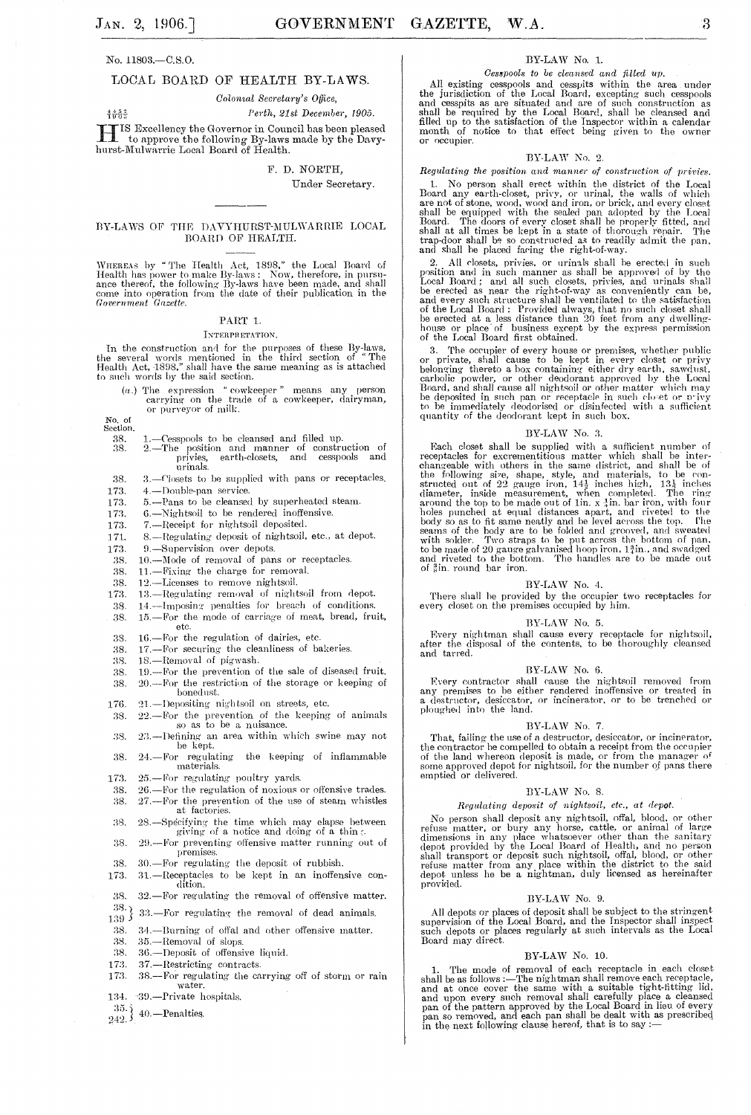#### No. 11803.-C.S.O.

# LOCAL BOARD OF HEALTH BY-LAWS.

Colonial Secretary's Office.

Perth, 21st December, 1905. 4송음은 III IS Excellency the Governor in Council has been pleased<br>to approve the following By-laws made by the Davy-<br>hurst-Mulwarrie Local Board of Health.

#### F. D. NORTH.

Under Secretary.

#### BY-LAWS OF THE DAVYHURST-MULWARRIE LOCAL BOARD OF HEALTH.

WHEREAS by "The Health Act, 1898," the Local Board of Health has power to make By-laws: Now, therefore, in pursuance thereof, the following By-laws have been made, and shall come into operation from the date of their publi

#### PART 1.

#### INTERPRETATION.

In the construction and for the purposes of these By-laws, the several words mentioned in the third section of "The Health Act, 1898," shall have the same meaning as is attached to such words by the said section.

( $a$ .) The expression "cowkeeper" means any person carrying on the trade of a cowkeeper, dairyman, or purveyor of milk.

No. of<br>Section.

- 38.
- $\begin{tabular}{llll} 1. & -Cesspools to be cleaned and filled up. \\ 2. & -The position and manner of construction of  
privies, earth-closests, and cesspools and\\ \end{tabular}$ 28. urinals.
- 38. 3. - Closets to be supplied with pans or receptacles.
- 173. 4.-Double-pan service.
- 5.-Pans to be cleansed by superheated steam. 173.
- 6.-Nightsoil to be rendered inoffensive. 173.
- 7.-Receipt for nightsoil deposited. 173.
- 8.-Regulating deposit of nightsoil, etc., at depot. 171.
- 9.-Supervision over depots. 173.
- 38. 10.-Mode of removal of pans or receptacles.
- 11.-Fixing the charge for removal. 38.
- 38. 12.-Licenses to remove nightsoil.
- 13.-Regulating removal of nightsoil from depot. 173.
- 38. 14.-Imposing penalties for breach of conditions.
- 15.-For the mode of carriage of meat, bread, fruit, 38. etc. 16.-For the regulation of dairies, etc. 38.
- 
- 17.-For securing the cleanliness of bakeries. 38.
- 18.-Removal of pigwash. 38.
- 19.-For the prevention of the sale of diseased fruit. 38. 38. 20.--For the restriction of the storage or keeping of bonedust.
- 21.-Depositing nightsoil on streets, etc. 176.
- 22.—For the prevention of the keeping of animals<br>so as to be a nuisance. 38.
- 23.-Defining an area within which swine may not 38. be kept.
- 24.-For regulating the keeping of inflammable 38. materials.
- 173. 25.-For regulating poultry yards.
- 26.-For the regulation of noxious or offensive trades. 38. 27.-For the prevention of the use of steam whistles 38.
- at factories. 28. Specifying the time which may elapse between giving of a notice and doing of a thin  $\zeta$ . 38.
- 29.-For preventing offensive matter running out of 38. premises.
- 38. 30.-For regulating the deposit of rubbish.
- 31.-Receptacles to be kept in an inoffensive con-173. dition.
- 38. 32.-For regulating the removal of offensive matter.
- $\overset{38.}{_{139}}\}$ 33.-For regulating the removal of dead animals.
- 
- 38. 34.-Burning of offal and other offensive matter.
- 38. 35.-Removal of slops.
- 38. 36.-Deposit of offensive liquid.
- 173. 37.-Restricting contracts.
- 38.--For regulating the carrying off of storm or rain 173. water. ~39.—Private hospitals. 134.
- 
- $\left[\frac{35}{242}\right]$  40. Penalties.

# BY-LAW No. 1.

Cesspools to be cleansed and filled up.

All existing cesspools and cesspits within the area under<br>the jurisdiction of the Local Board, excepting such cesspools<br>and esspits as are situated and are of such construction as<br>shall be required by the Local Board, shal or occupier.

#### BY-LAW No. 2.

Regulating the position and manner of construction of privies.

No person shall erect within the district of the Local  $\mathbf{1}$ 1. No person shall erect within the district of the Local Board any earth-closet, priv, or urinal, the walls of which are not of stone, wood, wood and iron, or brick, and every closet shall be equipped with the sealed pan

2. All closets, privies, or uring the regulator-way.<br>2. All closets, privies, or uring shall be erected in such position and in such maner as shall be approved of by the Local Board; and all such closets, privies, and uri

3. The occupier of every house or premises, whether public<br>or private, shall cause to be kept in every closet or privy<br>belonging thereto a box containing either dry earth, sawdust,<br>carbolic powder, or other deadorant appro quantity of the deodorant kept in such box.

#### BY-LAW No. 3.

BY-LAW No. 3.<br>BY-LAW No. 3.<br>B2-LAW No. 3.<br>The supplied with a sufficient number of<br>receptacles for excrementions matter which shall be inter-<br>changeable with others in the same district, and shall be of<br>the following size of gin. round bar iron.

#### BY-LAW No. 4.

There shall be provided by the occupier two receptacles for every closet on the premises occupied by him.

### BY-LAW No. 5.

Every nightman shall cause every receptacle for nightsoil, after the disposal of the contents, to be thoroughly cleansed and tarred.

#### BY-LAW No. 6.

 $B = 0.24 \text{W}$  NO. b.<br>
Every contractor shall cause the nightsoil removed from<br>
any premises to be either rendered inoffensive or treated in<br>
a destructor, desiccator, or incinerator, or to be trenched or<br>
ploughed into t

#### BY-LAW No. 7.

That, failing the use of a destructor, desiccator, or incinerator, rinal, using the use of a destructor, desiceator, or incinerator,<br>the contractor be compelled to obtain a receipt from the occupier<br>of the land whereon deposit is made, or from the manager of<br>some approved depot for nights

#### BY-LAW No. 8.

 $\label{eq:qubit} Regularing\ \textit{deposit\ \textit{of\ \textit{night}soil,\ \textit{etc.},\ \textit{at\ \textit{depot.}}}}$ 

No person shall deposit of negatively, etc., at teppe.<br>No person shall deposit any nightsoil, offal, blood, or other<br>refuse matter, or bury any horse, cattle, or animal of large<br>dimensions in any place whatsoever other tha provided.

#### BY-LAW No. 9.

All depots or places of deposit shall be subject to the stringent supervision of the Local Board, and the Inspector shall inspect such depots or places regularly at such intervals as the Local Board may direct.

# $\rm BY\text{-}LAW$  No. 10.

1. The mode of removal of each receptacle in each closet<br>shall be as follows :—The nightman shall remove each receptacle,<br>and at once cover the same with a suitable tight-fitting lid,<br>and upon every such removal shall car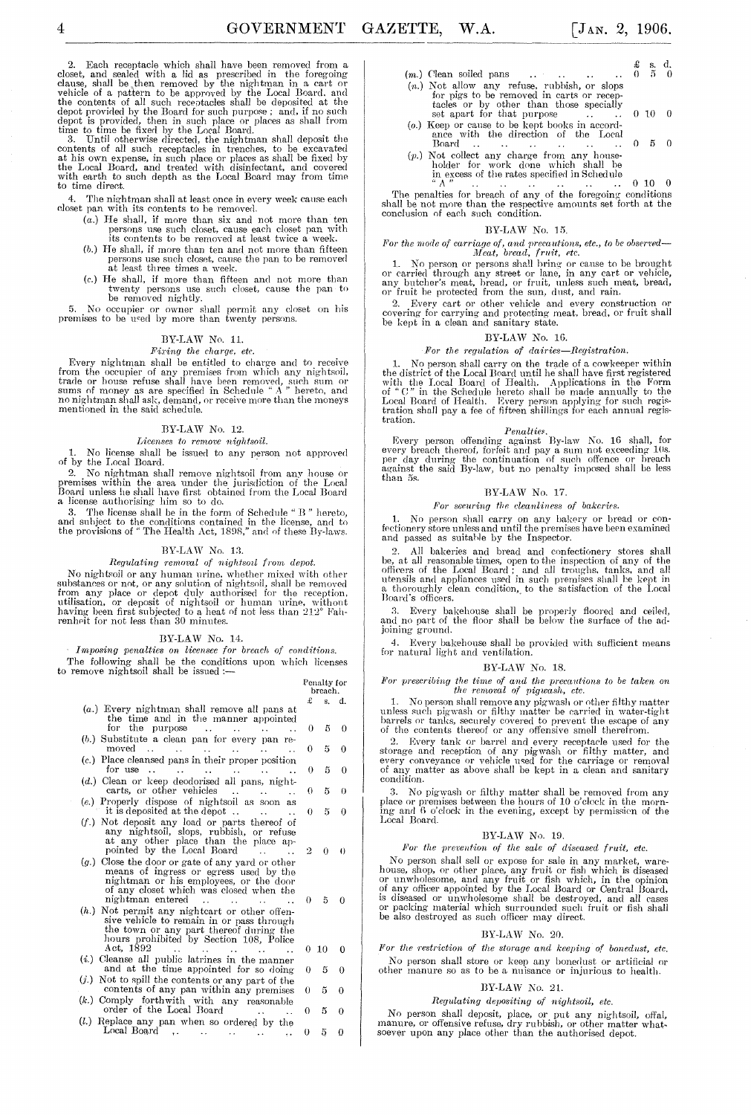2. Each receptacle which shall have been removed from a closet, and sealed with a lid as prescribed in the foregoing

clause, shall be then removed by the nightman in a cart or vehicle of a pattern to be approved by the Local Board, and the contents of all such receptacles shall be deposited at the depot provided by the Board for such pur

4. The nig-htman shall at least once in every week canse each doset pan with its contents to be removerl.

- (a.) He shall, if more than six and not more than ten persons use such closet, cause each closet pan with its contents to be removed at least twice a week.
- (b.) He shall, if more than ten and not more than fifteen persons use such closet, cause the pan to be removed at least three times a week.
- *(c.)* He shall, if more than fifteen and not more than twenty persons use such closet, cause the pan to be removed nightly.

5. 1\0 occnpier or owner shall permit any closet on Ids premises to be ueed by more than twenty persons.

# BY-LAW No. 11.

# *Fil'ing the charge, etc.*

Every nightman shall be entitled to charge and to receive<br>from the occupier of any premises from which any nightsoil,<br>trade or house refuse shall have been removed, such sum<br>sums of money as are specified in Schedule "A" h

### BY-LAW No. 12.

# *Licenses to rernove nightsoil.*

1. No license shall be issued to any person not approved of by the Local Board.

2. No nightman shall remove nightsoil from any house or premises within the area under the jurisdiction of the Local Board unless he shall have first obtained from the Local Board a liceuse authorising him so to do.

3. The license shall be in the form of Schedule" B" hereto, and subject to the conditions contained in the license, and to the provisions of " The Health Act, 1898," and of these By-laws.

#### ${\rm BY\text{-}LAW}$  No. 13.

 $Regularing$  removal of nightsoil from depot.

No nightsoil or any human urine, whether mixed with other<br>substances or not, or any solution of nightsoil, shall be removed<br>from any place or depot duly authorised for the reception,<br>utilisation, or deposit of nightsoil or

#### BY-LA W No. 14.

Imposing penalties on licensee for breach of conditions. The following shall be the conditions upon which licenses to remove nightsoil shall be issued :-

#### Penalty for breach.

|                                                                                        | £  | s.    | đ.       |
|----------------------------------------------------------------------------------------|----|-------|----------|
| $(a.)$ Every nightman shall remove all pans at<br>the time and in the manner appointed |    |       |          |
| for the purpose $\dots$ $\dots$                                                        | 0  | 5     | $\Omega$ |
| $(b.)$ Substitute a clean pan for every pan re-                                        |    |       |          |
| moved<br><b>Contract Contract</b>                                                      | 0  | 5     | 0        |
| (c.) Place cleansed pans in their proper position                                      |    |       |          |
| for use $\dots$ $\dots$ $\dots$ $\dots$ $\dots$                                        | 0  | 5     | 0        |
| $(d.)$ Clean or keep deodorised all pans, night-                                       |    |       |          |
| carts, or other vehicles<br>$\ddot{\phantom{a}}$                                       | 0  | 5     | $\theta$ |
| (e.) Properly dispose of nightsoil as soon as                                          |    |       |          |
| it is deposited at the depot<br><b>Contract Contract Contract</b>                      | 0  | 5     | 0        |
| $(f.)$ Not deposit any load or parts thereof of                                        |    |       |          |
| any nightsoil, slops, rubbish, or refuse                                               |    |       |          |
| at any other place than the place ap-                                                  |    |       |          |
| pointed by the Local Board<br>$\ddot{\phantom{a}}$                                     | 2  | 0     | $\theta$ |
| $(g.)$ Close the door or gate of any yard or other                                     |    |       |          |
| means of ingress or egress used by the                                                 |    |       |          |
| nightman or his employees, or the door                                                 |    |       |          |
| of any closet which was closed when the                                                |    |       |          |
| nightman entered<br>$\ddot{\phantom{0}}$                                               | 0. | 5     |          |
| (h.) Not permit any nighteart or other offen-                                          |    |       |          |
| sive vehicle to remain in or pass through                                              |    |       |          |
| the town or any part thereof during the<br>hours prohibited by Section 108, Police     |    |       |          |
| Act. 1892                                                                              |    | 0, 10 | 0        |
| <b>Contract Contract Contract</b><br>$(i.)$ Cleanse all public latrines in the manner  |    |       |          |
| and at the time appointed for so doing                                                 | 0  | 5     | 0        |
| (j.) Not to spill the contents or any part of the                                      |    |       |          |
| contents of any pan within any premises                                                | 0. | 5     | 0        |
| (k.) Comply forthwith with any reasonable                                              |    |       |          |
| order of the Local Board<br>$\ddot{\phantom{a}}$                                       | 0  | 5     | 0        |
|                                                                                        |    |       |          |

(*l*.) Replace any pan when so ordered by the Local Board  $\ldots$   $\ldots$   $\ldots$  0 5 0

- (m.) Clean soiled pans  $\ddot{\phantom{a}}$
- (n.) Not allow any refuse, rubbish, or slops for pigs to be removed in carts or receptable calculation of the removed in carts or recepsedially set apart for that purpose  $\ldots$  $(0, 10, 0)$
- (0.) Keep or cause to be kept books in accord- ance with the direction of the Local Board  $0 - 5 = 0$
- (*p*.) Not collect any charge from any house-<br>holder for work done which shall be<br>in excess of the rates specified in Schedule

.. A " **0 10 0**  The penalties for breach of any of the foregoing conditions shall be not more than the respective amounts set forth at the conclusion of each such condition.

#### BY-LAW No. 15.

*F'or the mode of carriage of, and llreralltio1!s, etc., to be obsen'ed-*<sup>111</sup>*eat, bread, frllit, etc.* 

1. No person or persons shall bring or cause to be brought<br>or carried through any street or lane, in any cart or vehicle,<br>any butcher's meat, bread, or fruit, unless such meat, bread,<br>or fruit be protected from the sun, du

2. Every cart or other yehicle and eyery construction or covering for carrying and protecting meat, bread. or fruit shall be kept in a clean and sanitary state.

#### BY-LAW No. 16.

#### For the regulation of dairies-Registration.

1. No person shall carryon the trade of a cowkeeper within the district of the Local Hoard until he shall have first registered with the Local Board of Health. Applications in the Form<br>of "C" in the Schedule hereto shall be made amually to the<br>Local Board of Health. Every person applying for such regis-<br>tration shall pay a fee of fifteen shillings tration.

Penalties.<br>
For person offending against By-law No. 16 shall, for<br>
every breach thereof, forteit and pay a sum not exceeding 10s.<br>
per day during the continuation of such offence or breach<br>
against the said By-law, but no than 5s.

### BY-LAW No. 17.

# $For\,$  securing the cleanliness of bakeries.

1. No person shall carry on any bakery or bread or con-<br>fectionery store unless and until the premises have been examined<br>and passed as suitable by the Inspector.

All bakeries and bread and confectionery stores shall be, at all reasonable times, open to the inspection of any of the unders of the Local Board; and all troughs, tanks, and all premises used in such premises shall be kept in a thoroughly clean condition, to the satisfaction Board's officers.

:l. Every bakehouse shall be properly floored and ceiled, and no part of the floor shall be below the sul'face of the ad**joining ground.** 

4. Every bakehouse shall be provided with sufficient means for natural light and ventilation.

# BY-LAW No. 18.

*For prescribing the time of and the precautions to be taken on the removal of pigwash, etc.* 

1. No person shall remove any pigwash or other filthy matter unless such pigwash or filthy matter be carried in water-tight barrels or tanks, securely covered to prevent the escape of any of the contents thereof or any offensive smell therefrom.

2. Every tank or barrel and every receptacle used for the storage and reception of any pigwash or filthy matter, and every conveyance or vehicle used for the carriage or removal of any matter as above shall be kept in a cl

3. No pigwash or filthy matter shall be removed from any place or premises between the hours of 10 o'clock in the morning and 6 o'clock in the evening, except by permission of the Local Board.

#### BY-LAW No. 19.

#### *For the prevention of the sale of diseased fruit, etc.*

No person shall sell or expose for sale in any market, ware-<br>house, shop, or other place, any fruit or fish which is diseased<br>or unwholesome, and any fruit or fish which, in the opinion<br>of any officer appointed by the Loca

#### BY-LAW No. 20.

For the restriction of the storage and keeping of bonedust, etc. No person shall store or keep any bonedust or artificial or other manure so as to be a nuisance 01' injurious to health.

#### BY,LAW Ko. 2L

#### $Regularing$  depositing of nightsoil, etc.

No person shall deposit, place, or put any nightsoil, offal, manure, or offensive refuse, dry rubbish, or other matter whatsoever upon any place other than the authorised depot.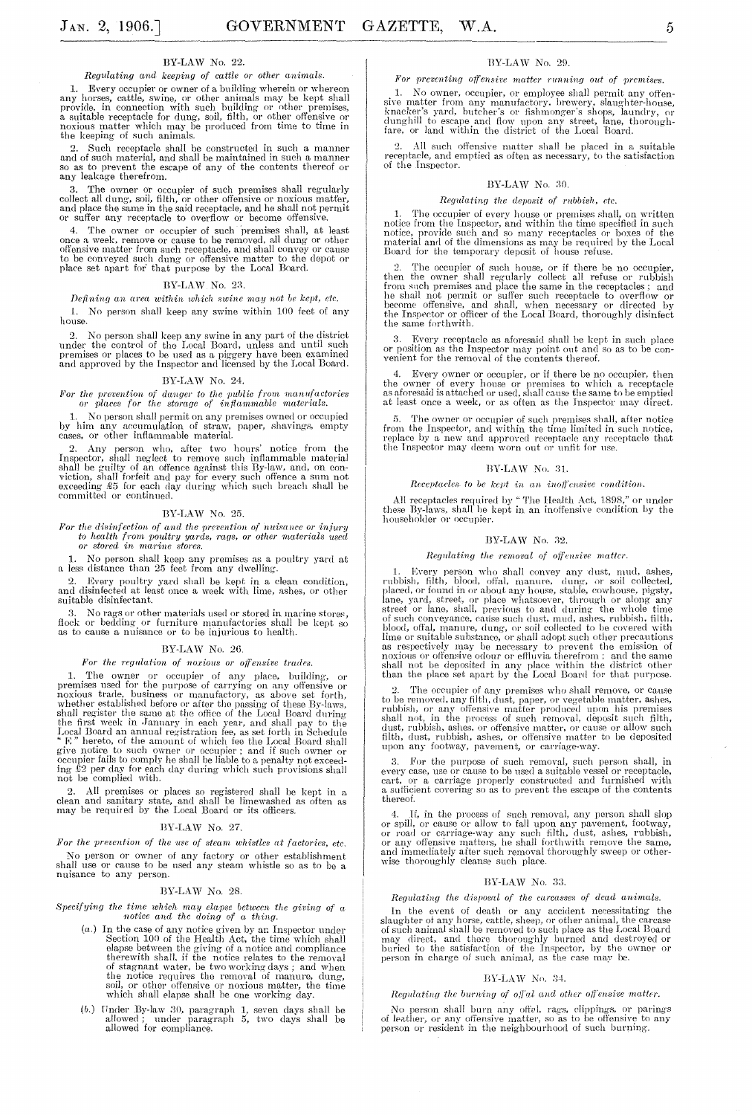#### BY-LAW No. 22.

#### *Regulating and keeping of cattle or other animals.*

1. Every occupier or owner of a building wherein or whereon<br>any horses, cattle, swine, or other animals may be kept shall<br>provide, in connection with such building or other premises,<br>a suitable receptacle for dung, soil, f

2. Such receptacle shall be constructed in such a manner and of such material, and shall be maintained in such a manner so as to prevent the escape of any of the contents thereof or any leakage therefrom.

3. The owner or occupier of such premises shall regularly collect all dung, soil, filth, or other offensive or noxious matter, and place the same in the said receptacle, and he shall not permit Or suffer any receptacle to overflow or become offensive.

4. The owner or occupier of such premises shall, at least<br>once a week, remove or cause to be removed, all dung or other<br>offensive matter from such receptacle, and shall convey or cause<br>to be conveyed such dung or offensive

#### BY-LAW No. 23.

#### *f*)*fining an area within which swine may not be kept, etc.*

L No person shall keep any swine within 100 feet of any house.

No person shall keep any swine in any part of the district under the control of the Local Board, unless and until such<br>premises or places to be used as a piggery have been examined<br>and approved by the Inspector and licensed by the Local Board.

#### BY-LAW No. 24.

*li lion the prevention of danger to the public from manufactories or places for the storage of inflammable materials.* 

1. No person shall permit on any premises owned or occupied by him any accumulation of straw, paper, shavings, empty cases, or other inflammable material.

2. Any person who, after two hours' notice from the Inspector, shall neglect to remove such inflammable material shall be guilty of an offence against this By-law, and, on con-viction, shall forfeit and pay for every such

#### BY-LAW No. 25.

For the disinfection of and the prevention of nuisance or injury<br>to health from poultry yards, rags, or other materials used<br>or stored in marine stores.

1. No person shall keep any premises as a poultry yard at a less distance than 25 feet from any dwelling.

2. Every poultry yard shall be kept in a clean condition, and disinfected at least once a week with lime, ashes, or other suitable disinfectant.

:l. No rags or other materials used or stored in marine stores, Hock 01' bedding 01' furniture manufactories shall be kept so as to canse a nuisance or to be injurious to health.

#### BY-LAW No. 26.

# $For\ the\ regulation\ of\ novious\ or\ offensive\ trades.$

1. The owner or occupier of any place, building, or<br>premises used for the purpose of carrying on any offensive or<br>noxious trade, business or manufactory, as above set forth,<br>whether established before or after the passing give notice to such owner or occupier; and if such owner or occupier fails to comply he shall be liable to a penalty not exceeding £2 per day for each clay during which such proyisions shall not he complied with.

2. All premises or places so registered shall be kept in a clean and sanitary state, and shall be limewashed as often as may be required by the Local Board or its officers.

#### BY-LAW No. 27.

For the prevention of the use of steam whistles at factories, etc. No person or owner of any factory or other establishment shall use or cause to be used any steam whistle so as to be a nuisance to any person.

#### BY-LAW No. 28.

# *Specifying the time which may elapse between the giving of a notice and the doing of a thing.*

- (a.) In the case of any notice given by an Inspector under<br>Section 100 of the Health Act, the time which shall<br>elapse between the giving of a notice and compliance<br>therewith shall, if the notice relates to the removal<br>of s the notice requires the removal of manure. dung, soil, or other offensive or noxious matter, the time which shall elapse shall be one working day.
- (b.) Under By-law 30, paragraph 1, seven days shall be allowed; under paragraph 5, two days shall be allowed for compliance.

# nY-LA W No. 29.

#### For preventing offensive matter running out of premises.

1. No owner, occupier, or employee shall permit any offensive matter from any manufactory, brewery, slaughter-house, knacker's yard, butcher's or fishmonger's shops, laundry, or dumphill to escape and flow upon any street,

All such offensive matter shall be placed in a suitable receptacle, and emptied as often as necessary, to the satisfaction<br>of the Inspector.

# $\rm BY\text{-}LAW$  No. 30.

#### $Regularing$  the deposit of rubbish, etc.

1. The occupier of every house or premises shall, on written<br>notice from the Inspector, and within the time specified in such<br>notice, provide such and so many receptacles or boxes of the<br>material and of the dimensions as m

2. The occupier of such house, or if there be no occupier, then the owner shall regularly collect all refuse or rubbish from such premises and place the same in the receptacles; and he shall not permit or suffer such recep the same forthwith.

:1. Eyery receptacle as aforesaid shall he kept in such place or position as the Inspector may point out and so as to be con-venient for the removal of the contents thereof.

Every owner or occupier, or if there be no occupier, then the owner of every house or premises to which a receptacle as aforesaid is attached or used, shall cause the same to be emptied at least once a week, or as often as the Inspector may direct.

5. The owner or occupier of such premises shall, after notice from the Inspector, and within the time limited in such notice. replace by a new and approved receptacle any receptacle that the Inspector may deem worn out or unfit for use.

#### BY-LAW No. 31.

#### *Receptacles to be kept in an inoffensive condition.*

All receptacles required by "The Health Act, 1898," or under these By-laws, shall be kept in an inoffensive condition by the householder or occupier.

#### BY-LAW No. 32.

#### *Regulating the removal of offensive matter.*

1. Every person who shall convey any dust, mud, ashes,<br>rubbish, filth, blood, offal, manure, dung, or soil collected,<br>placed, or found in or about any house, stable, cowhouse, pigsty,<br>lane, yard, street, or place whatsoeve noxious or offensive odour or effluvia therefrom ; and the same shall not be deposited in any place within the district other than the place set apart by the Local Board for that purpose.

2. The occupier of any premises who shall remove, or cause<br>to be removed, any filth, dust, paper, or vegetable matter, ashes,<br>rubbish, or any offensive matter produced upon his premises<br>shall not, in the process of such re upon any footway, pavement, or carriage-way.

3. For the purpose of such removal, such person shall, in<br>every case, use or cause to be used a suitable vessel or receptacle,<br>cart, or a carriage properly constructed and furnished with<br>a sufficient covering so as to prev thereof.

If, in the process of such removal, any person shall slop or spill, or cause or allow to fall upon any pavement, footway,<br>or road or carriage-way any such filth, dust, ashes, rubbish,<br>or any offensive matters, he shall forthwith remove the same,<br>and immediately after such removal

#### BY-LAW No. 33.

### *Regulating the disposal of the carcasses of dead animals.*

In the event of death or any accident necessitating the slaughter of any horse, cattle, sheep, or other animal, the carcase<br>of such animal shall be removed to such place as the Local Board<br>may direct, and there thoroughly burned and destroyed or<br>buried to the satisfaction of th

#### BY-LAW No. 34.

# *Regulating the burning of off al and other off ensive matter.*

No person shall burn any offel, rags, clippings, or parings of leather, or any offensive matter, so as to be offensive to any person or resident in the neighbourhood of such burning.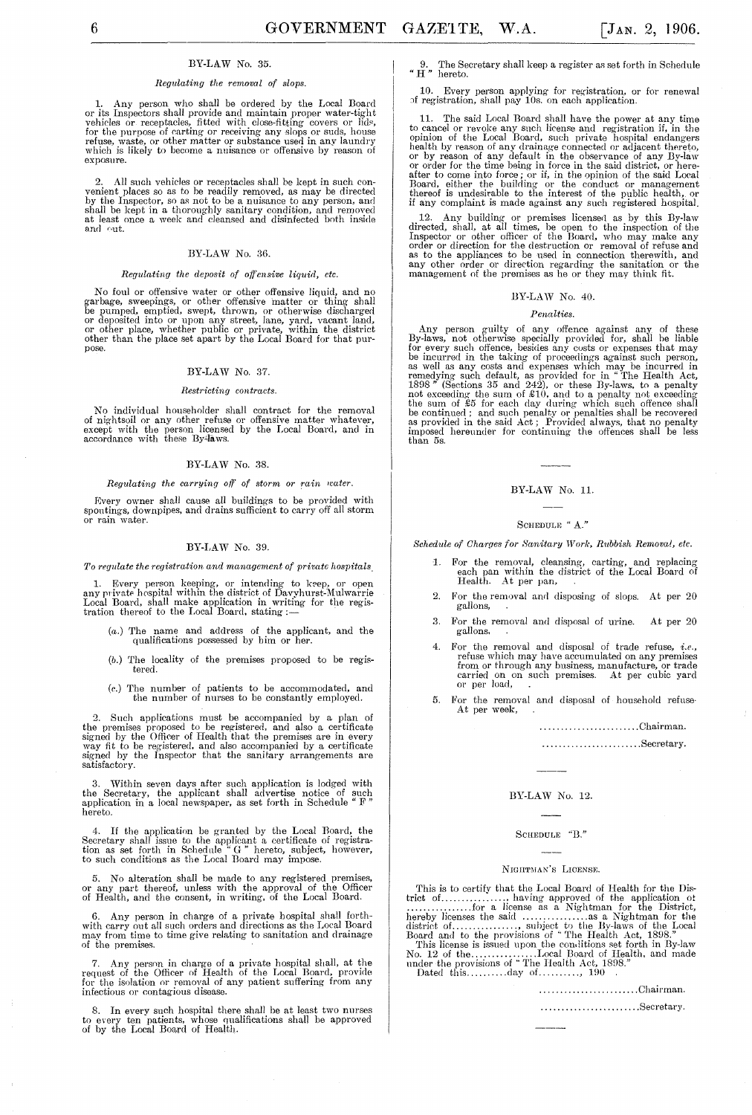# BY-LAW No. 35.

### *Regulating the removal of slops.*

1. Any person who shall be ordered by the Local Board<br>or its Inspectors shall provide and maintain proper water-tight<br>vehicles or receptacles, fitted with close-fitting covers or lids,<br>for the purpose of carting or receivi exposure.

2. All such vehicles or receptacles shall be kept in such convenient places so as to be readily removed, as may be directed by the Inspector, so as not to be a nuisance to any person, and shall be kept in a thoroughly sani and out.

# BY-LAW *No. 36.*

#### *Regulating the deposit of offensive liquiil, etc.*

No foul or offensive water or other offensive liquid, and no garbage, sweepings, or other offensive matter or thing- shall be pumped, emptied, swept, thrown, or otherwise discharged<br>or deposited into or upon any street, lane, yard, vacant land,<br>or other place, whether public or private, within the district<br>other than the place set apart by the pose.

#### BY-LAW *No. 37.*

#### *Restricting contracts.*

No individual householder shall contract for the removal of nightsoil or any other refuse or offensive matter whatever, except with the person licensed by the Local Board, and in accordance with these By'-laws.

#### BY-LAW *No.* 38.

#### *Regulating the carrying off of storm or rain water.*

Every owner shall cause all buildings to be provided with spouting-s, downpipes, and drains sufficient to carry off all storm **or rain \vater.** 

#### BY-LAW *No. 39.*

*To regulate the registration and management of private hospitals.* 

1. Every person keeping, or intending to keep, or open<br>any private hospital within the district of Davyhurst-Mulwarrie<br>Local Board, shall make application in writing for the regis-<br>tration thereof to the Local Board, stati

- (a.) 'fhe name and address of the applicant, and the qualifications possessed by bim or her.
- (1).) The locality of the premises proposed to be registered.
- (c.) The number of patients to be accommodated, and the number of nurses to be constantly employed.

2. Such applications must be accompanied by a plan of the premises proposed to be registered, and also a certificate signed by the Officer of Health that the premises are in every way fit to be registered, and also accompanied by a certificate signed by the Inspector that the sanitary arrangements are satisfactory.

3. Within seven days after such application is lodged with the Secretary, the applicant shall advertise notice of such application in a local newspaper, as set forth in Schedule" F " hereto.

4. If the application be granted by the Local Board, the Secretary shall issue to the applicant a certificate of registration as set forth in Schedule " $G''$  hereto, subject, however, to such conditions as the Local Board

5. No alteration shall be made to any registered premises, or any part thereof, unless with the approval of the Officer of Health, and the consent, in writing, of the Local Board.

6. Any person in charge of a private hospital shall forth-with carry out all such orders and directions as the Local Board may from time to time give relating to sanitation and drainage of the premises.

7. Any person in charge of a private hospital shall, at the request of the Officer of Health of the Local Board, provide for the isolation or removal of any patient suffering from any infectious or contagious disease.

8. In every such hospital there shall be at least two nurses to every ten patients, whose qualifications shall be approved of by the Local Board of Health.

9. The Secretary shall keep a register as set forth in Schedule " H " hereto.

10. Every person applying for registration, or for renewal of registration, shall pay 10s. on each application.

11. The said Local Board shall have the power at any time<br>to cancel or revolve any such license and registration if, in the<br>opinion of the Local Board, such private hospital endangers<br>health by reason of any drainage conn

12. Any building or premises licensed as by this By-law<br>directed, shall, at all times, be open to the inspection of the<br>Inspector or other officer of the Board, who may make any<br>order or direction for the destruction or r

#### BY-LAW *No.* 40.

#### $Penalties.$

Any person guilty of any offence against any of these By-laws, not otherwise specially provided for, shall be liable by rought for severy such offence, besides any costs or expenses that may be incurred in the taking of p

#### BY-LAW No. 11.

#### SCHEDULE " A."

*Schedule of Charges for Sanitary Work, Rubbish Removal, etc.* 

- 1. For the removal, cleansing, carting, and replacing each pan within the district of the Local Board of Health. At per pan,
- 2. For the removal and disposing of slops. At per 20 gallons,
- 3. For the removal and disposal of urine. At per 20 gallons,
- 4. For the removal and disposal of trade refuse, *i.e.,*  refuse which may have accumulated on any premises from or through any husiness, manufacture, or trade carried on on such premises. At per cubic yard or per load,
- 5. For the removal and disposal of household refuse-<br>At per week,

#### ........................ Ohairman.

........................ Secretary.

# BY-LAW *No.* 12.

# SCHEDULE "B."

# NIGHTMAN'S LICENSE.

This is to certifv that the Local Board of Health for the Dis-trict of. .......... : .... , having approved of the application ot .. .............. for a license as a Nightman for the District, hereby licenses the said ................ as a l'\ightman for the distriet of ................ , subject to the By-laws of the Local Board and to the provisions of .. The Health Act, 1898." This license is issued upon the conditions set forth in By-law *No.* 12 of the ................ Local Board of Health. and made nnder the provisions of .. The Health Act, 1898."

Dated this ............. day of ..............  $190$ 

........................ Ohairman. ..........................Secretary.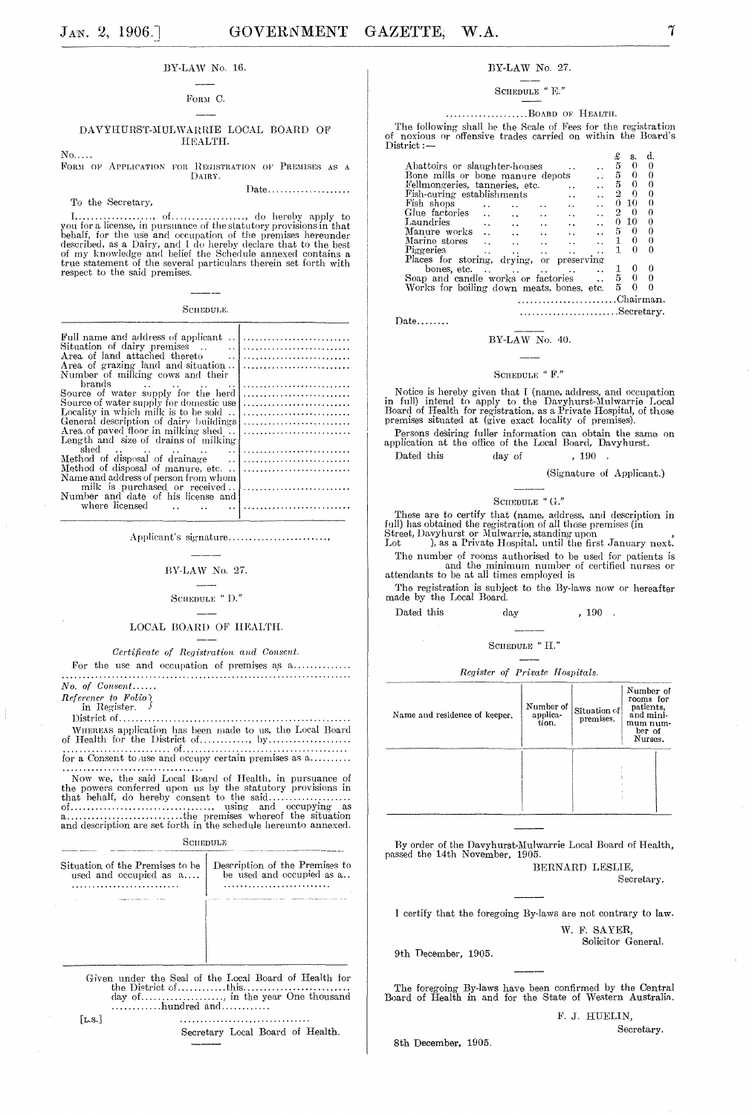# 7

# BY-LAW No. 16.

#### FORM C.

#### DAVYHURST-MULWARRIE LOCAL BOARD OF HEALTH.

 $No...$ 

FORM OF APPLICATION FOR REGISTRATION OF PREMISES AS A DAIRY.

To the Secretary,

**SCHEDULE.** 

| Number of milking cows and their          |  |
|-------------------------------------------|--|
|                                           |  |
| Source of water supply for the herd       |  |
| Source of water supply for domestic use   |  |
| Locality in which milk is to be sold      |  |
| General description of dairy buildings    |  |
| Area of payed floor in milking shed       |  |
| Length and size of drains of milking      |  |
| shed $\cdots$ $\cdots$ $\cdots$ $\cdots$  |  |
|                                           |  |
|                                           |  |
| Name and address of person from whom      |  |
|                                           |  |
| Number and date of his license and        |  |
|                                           |  |
| where licensed $\ldots$ $\ldots$ $\ldots$ |  |
|                                           |  |

Applicant's signature........................

# BY-LAW No. 27.

# SCHEDULE "  $\mathbf{D}$ ."

#### LOCAL BOARD OF HEALTH.

Certificate of Registration and Consent.

For the use and occupation of premises as a..............  $No. of  $Consent....$$ 

 $\begin{bmatrix} No, & o_l & \cup \text{...}\\ \text{Reference} & to & Folio \\ & \cup & \text{Dovister} \end{bmatrix}$ 

in Register.

**SCHEDULE** 

|     | Situation of the Premises to be<br>used and occupied as a | Description of the Premises to<br>be used and occupied as a                                                                              |
|-----|-----------------------------------------------------------|------------------------------------------------------------------------------------------------------------------------------------------|
|     |                                                           |                                                                                                                                          |
|     |                                                           |                                                                                                                                          |
|     |                                                           |                                                                                                                                          |
|     | $\ldots \ldots \ldots$ hundred and $\ldots \ldots$        | Given under the Seal of the Local Board of Health for<br>the District of $\dots, \dots,$ this $\dots, \dots, \dots, \dots, \dots, \dots$ |
| LS. |                                                           |                                                                                                                                          |

Secretary Local Board of Health.

#### BY-LAW No. 27.

### SCHEDULE " E."

# ....................BOARD OF HEALTH.

The following shall be the Scale of Fees for the registration<br>i noxious or offensive trades carried on within the Board's  $District:$   $-$ 

|                                                                                   |                      | £              | s.       | α. |  |
|-----------------------------------------------------------------------------------|----------------------|----------------|----------|----|--|
| Abattoirs or slaughter-houses                                                     |                      | 5              | 0        |    |  |
| Bone mills or bone manure depots                                                  |                      | 5              | 0        |    |  |
| Fellmongeries, tanneries, etc.                                                    |                      | 5              | 0        | 0  |  |
| Fish-curing establishments                                                        |                      | 2              | $\Omega$ | 0  |  |
| Fish shops                                                                        |                      | 0              | 10       | 0  |  |
| Glue factories<br>$\sim$                                                          | .                    | $\overline{2}$ | - 0      | O  |  |
| Laundries<br>$\ddot{\phantom{a}}$<br>$\ddot{\phantom{1}}$<br>$\ddot{\phantom{a}}$ | $\ddot{\phantom{1}}$ | 0              | 10       | 0  |  |
| Manure works<br>$\ddot{\phantom{a}}$                                              |                      | 5              | 0        |    |  |
| Marine stores                                                                     |                      |                | 0        | 0  |  |
| Piggeries<br>$\ddot{\phantom{0}}$<br>$\ddot{\phantom{1}}$                         |                      |                | о        |    |  |
| Places for storing, drying,                                                       | or preserving        |                |          |    |  |
| bones, etc<br>$\ddot{\phantom{0}}$<br>$\ddot{\phantom{0}}$                        |                      |                |          | 0  |  |
| Soap and candle works or factories                                                |                      | 5              |          |    |  |
| Works for boiling down meats, bones, etc.                                         |                      | 5              | 0        |    |  |
|                                                                                   |                      |                |          |    |  |

 $Date$ .......

#### BY-LAW No. 40.

# SCHEDULE "  $\mathbf{F}$  "

Notice is hereby given that I (name, address, and occupation<br>in full) intend to apply to the Davyhurst-Mulwarrie Local<br>Board of Health for registration, as a Private Hospital, of those<br>premises situated at (give exact loca

Persons desiring fuller information can obtain the same on application at the office of the Local Board, Davyhurst.

Dated this  $, 190$ day of

(Signature of Applicant.)

........................Secretary.

# SCHEDULE "  $\mbox{G.}$  "

These are to certify that (name, address, and description in full) has obtained the registration of all those premises (in Street, Davyhurst or Mulwarrie, standing upon Lot ), as a Private Hospital, until the first January

The number of rooms authorised to be used for patients is<br>and the minimum number of certified nurses or<br>attendants to be at all times employed is

The registration is subject to the By-laws now or hereafter made by the Local Board.

Dated this  $_{\rm day}$  $, 190.$ 

SCHEDULE "  $\mathbf{H}$ ."

Register of Private Hospitals.

| Name and residence of keeper. | Number of<br>applica-<br>tion. | Situation of<br>premises. | Number of<br>rooms for<br>patients.<br>and mini-<br>mum num-<br>ber of<br>Nurses. |
|-------------------------------|--------------------------------|---------------------------|-----------------------------------------------------------------------------------|
|                               |                                |                           |                                                                                   |

By order of the Davyhurst-Mulwarrie Local Board of Health, passed the 14th November, 1905. BERNARD LESLIE,

Secretary.

I certify that the foregoing By-laws are not contrary to law. W. F. SAYER,

Solicitor General.

9th December, 1905.

The foregoing By-laws have been confirmed by the Central Board of Health in and for the State of Western Australia.

F. J. HUELIN, Secretary.

8th December, 1905.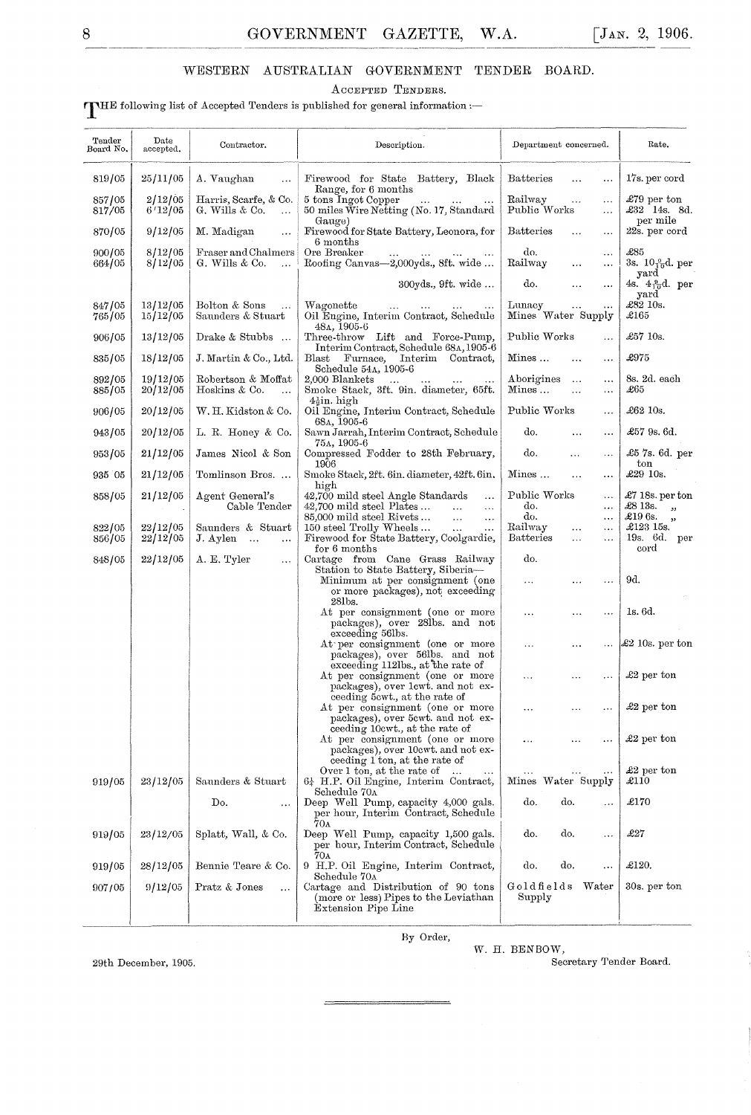# WESTERN AUSTRALIAN GOVERNMENT TENDER BOARD.

ACCEPTED TENDERS.

# THE following list of Accepted Tenders is published for general information :-

| Tender<br>Board No, | Date<br>accepted.    | Contractor.                                          | Description.                                                                                                                              | Department concerned.                                                | Rate.                                         |
|---------------------|----------------------|------------------------------------------------------|-------------------------------------------------------------------------------------------------------------------------------------------|----------------------------------------------------------------------|-----------------------------------------------|
| 819/05              | 25/11/05             | A. Vaughan<br>$\ddotsc$                              | Firewood for State Battery, Black<br>Range, for 6 months                                                                                  | <b>Batteries</b><br>$\ddotsc$<br>$\ldots$                            | 17s. per cord                                 |
| 857/05<br>817/05    | 2/12/05<br>6'12/05   | Harris, Scarfe, & Co.<br>G. Wills & Co.<br>$\ddotsc$ | 5 tons Ingot Copper<br>$\ddotsc$<br>50 miles Wire Netting (No. 17, Standard<br>Gauge)                                                     | Railway<br>$\ddotsc$<br>$\ddotsc$<br>Public Works<br>$\ldots$        | $£79$ per ton<br>£32 14s. 8d.<br>per mile     |
| 870/05              | 9/12/05              | M. Madigan<br>$\ddotsc$                              | Firewood for State Battery, Leonora, for<br>6 months                                                                                      | <b>Batteries</b><br>$\sim$<br>$\epsilon$ , $\epsilon$                | 22s. per cord                                 |
| 900/05<br>664/05    | 8/12/05<br>8/12/05   | Fraser and Chalmers<br>G. Wills & Co.<br>$\ddotsc$   | Ore Breaker<br>Roofing Canvas-2,000yds., 8ft. wide                                                                                        | do.<br>$\sim$ $\sim$ $\sim$<br>Railway<br>$\cdots$<br>$\cdots$       | £85<br>3s. $10\frac{9}{10}d$ , per            |
|                     |                      |                                                      | 300yds., 9ft. wide                                                                                                                        | do.<br>$\ldots$<br>$\ldots$                                          | yard<br>4s. $4\frac{9}{10}d$ . per<br>yard    |
| 847/05<br>765/05    | 13/12/05<br>15/12/05 | Bolton & Sons<br>Saunders & Stuart                   | Wagonette<br>$\ldots$<br>Oil Engine, Interim Contract, Schedule<br>48A, 1905-6                                                            | Lunacy<br>$\ldots$<br>$\cdots$<br>Mines Water Supply                 | £82 10s.<br>$\pounds165$                      |
| 906/05              | 13/12/05             | Drake & Stubbs                                       | Three-throw Lift and Force-Pump,<br>Interim Contract, Schedule 68A, 1905-6                                                                | Public Works<br>$\ldots$                                             | £57 10s.                                      |
| 835/05              | 18/12/05             | J. Martin & Co., Ltd.                                | Interim Contract,<br>Furnace,<br>Blast<br>Schedule 54A, 1905-6                                                                            | Mines<br>$\sim$ $\sim$<br>$\cdots$                                   | £975                                          |
| 892/05<br>885/05    | 19/12/05<br>20/12/05 | Robertson & Moffat<br>Hoskins & Co.<br>$\ddotsc$     | 2,000 Blankets<br>$\sim$ .<br>Smoke Stack, 3ft. 9in. diameter, 65ft.                                                                      | Aborigines<br>$\ddotsc$<br>$\ldots$<br>Mines<br>$\ldots$<br>$\ldots$ | 8s. 2d. each<br>$\pounds 65$                  |
| 906/05              | 20/12/05             | W. H. Kidston & Co.                                  | $4\frac{1}{2}$ in. high<br>Oil Engine, Interim Contract, Schedule                                                                         | Public Works<br>$\ddotsc$                                            | £62 10s.                                      |
| 943/05              | 20/12/05             | L. R. Honey & Co.                                    | 68a, 1905-6<br>Sawn Jarrah, Interim Contract, Schedule<br>$75A, 1905-6$                                                                   | do.<br>$\ldots$<br>$\cdots$                                          | £57 9s. 6d.                                   |
| 953/05              | 21/12/05             | James Nicol & Son                                    | Compressed Fodder to 28th February,<br>1906                                                                                               | do.<br>$\ddotsc$<br>$\ldots$                                         | £5 7s. 6d. per<br>$_{\rm ton}$                |
| 935 05              | 21/12/05             | Tomlinson Bros.                                      | Smoke Stack, 2ft. 6in. diameter, 42ft. 6in.<br>high                                                                                       | Mines<br>$\ddotsc$<br>$\ldots$                                       | $\pounds29$ 10s.                              |
| 858/05              | 21/12/05             | Agent General's<br>Cable Tender                      | 42,700 mild steel Angle Standards<br>$\ddotsc$<br>$42,700$ mild steel Plates<br>$\sim$<br>$\ldots$                                        | Public Works<br>$\cdots$<br>do.<br>$\ldots$                          | $\pounds 7$ 18s. per ton<br>$\pounds813s$ , , |
|                     |                      |                                                      | 85,000 mild steel Rivets<br>$\sim$ . $\sim$<br>$\ddotsc$                                                                                  | do.<br>$\ldots$                                                      | £19 6s.,                                      |
| 822/05              | 22/12/05             | Saunders & Stuart                                    | 150 steel Trolly Wheels<br>$\bar{1}$ .<br>.                                                                                               | Railway<br>$\ldots$<br>$\ldots$                                      | £123 15s.                                     |
| 856/05              | 22/12/05             | J. Aylen<br>$\ddotsc$                                | Firewood for State Battery, Coolgardie,<br>for 6 months                                                                                   | <b>Batteries</b><br>$\ddotsc$<br>$\ddotsc$                           | 19s. 6d. per<br>cord                          |
| 848/05              | 22/12/05             | A. E. Tyler<br>$\ldots$                              | Cartage from Cane Grass Railway<br>Station to State Battery, Siberia-                                                                     | do.                                                                  |                                               |
|                     |                      |                                                      | Minimum at per consignment (one<br>or more packages), not exceeding<br>28lbs.                                                             | $\cdots$<br>$\cdots$<br>$\ddotsc$                                    | 9d.                                           |
|                     |                      |                                                      | At per consignment (one or more<br>packages), over 28lbs. and not                                                                         | $\ldots$<br>$\cdots$<br>$\ddotsc$                                    | 1s. 6d.                                       |
|                     |                      |                                                      | exceeding 56lbs.<br>At per consignment (one or more<br>packages), over 56lbs. and not                                                     | .<br>$\cdots$<br>$\ddotsc$                                           | £2 10s. per ton                               |
|                     |                      |                                                      | exceeding 112lbs., at the rate of<br>At per consignment (one or more                                                                      | $\ldots$<br>$\cdots$<br>$\ddotsc$                                    | $\pounds2$ per ton                            |
|                     |                      |                                                      | packages), over lewt, and not ex-<br>ceeding 5 cwt., at the rate of                                                                       |                                                                      |                                               |
|                     |                      |                                                      | At per consignment (one or more<br>packages), over 5cwt. and not ex-                                                                      | $\ddotsc$<br>.<br>.                                                  | $\pounds2$ per ton                            |
|                     |                      |                                                      | ceeding 10cwt., at the rate of<br>At per consignment (one or more<br>packages), over 10cwt. and not ex-                                   | $\ddotsc$                                                            | $\pounds2$ per ton                            |
| 919/05              | 23/12/05             | Saunders & Stuart                                    | ceeding 1 ton, at the rate of<br>Over 1 ton, at the rate of<br>$\ddotsc$<br>$\cdots$<br>$6\frac{1}{4}$ H.P. Oil Engine, Interim Contract, | $\cdots$<br>Mines Water Supply                                       | $\pounds2$ per ton<br>$\pounds 110$           |
|                     |                      | Do.<br>.                                             | Schedule 70 <sub>A</sub><br>Deep Well Pump, capacity 4,000 gals.<br>per hour, Interim Contract, Schedule                                  | do.<br>do.<br>$\ddotsc$                                              | £170                                          |
| 919/05              | 23/12/05             | Splatt, Wall, & Co.                                  | 70 <sub>A</sub><br>Deep Well Pump, capacity 1,500 gals.<br>per hour, Interim Contract, Schedule                                           | do.<br>do.<br>                                                       | £27                                           |
| 919/05              | 28/12/05             | Bennie Teare & Co.                                   | 70 <sub>A</sub><br>9 H.P. Oil Engine, Interim Contract,                                                                                   | do.<br>do.<br>$\ldots$                                               | £120.                                         |
| 907/05              | 9/12/05              | Pratz & Jones<br>$\ddotsc$                           | Schedule 70A<br>Cartage and Distribution of 90 tons<br>(more or less) Pipes to the Leviathan                                              | Goldfields<br>Water<br>Supply                                        | 30s, per ton                                  |
|                     |                      |                                                      | Extension Pipe Line                                                                                                                       |                                                                      |                                               |

By Order,

 $\mathbf W.$  H. BENBOW,

29th December, 1905.

Secretary Tender Board.